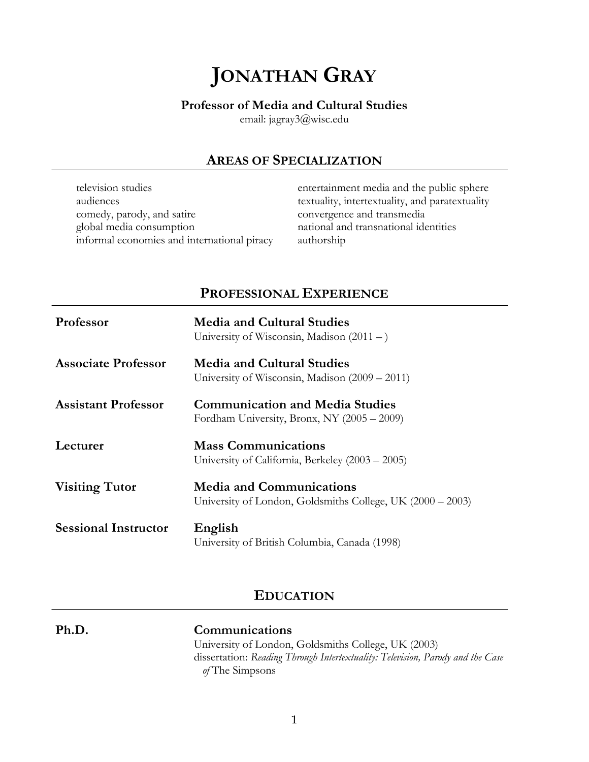# **JONATHAN GRAY**

### **Professor of Media and Cultural Studies**

email: jagray3@wisc.edu

# **AREAS OF SPECIALIZATION**

| television studies                          | entertainment media and the public sphere       |
|---------------------------------------------|-------------------------------------------------|
| audiences                                   | textuality, intertextuality, and paratextuality |
| comedy, parody, and satire                  | convergence and transmedia                      |
| global media consumption                    | national and transnational identities           |
| informal economies and international piracy | authorship                                      |

# **PROFESSIONAL EXPERIENCE**

| Professor                   | <b>Media and Cultural Studies</b><br>University of Wisconsin, Madison $(2011 - )$             |
|-----------------------------|-----------------------------------------------------------------------------------------------|
| <b>Associate Professor</b>  | <b>Media and Cultural Studies</b><br>University of Wisconsin, Madison (2009 – 2011)           |
| <b>Assistant Professor</b>  | <b>Communication and Media Studies</b><br>Fordham University, Bronx, NY (2005 - 2009)         |
| Lecturer                    | <b>Mass Communications</b><br>University of California, Berkeley (2003 – 2005)                |
| <b>Visiting Tutor</b>       | <b>Media and Communications</b><br>University of London, Goldsmiths College, UK (2000 – 2003) |
| <b>Sessional Instructor</b> | English<br>University of British Columbia, Canada (1998)                                      |

# **EDUCATION**

**Ph.D. Communications**

University of London, Goldsmiths College, UK (2003) dissertation: *Reading Through Intertextuality: Television, Parody and the Case of* The Simpsons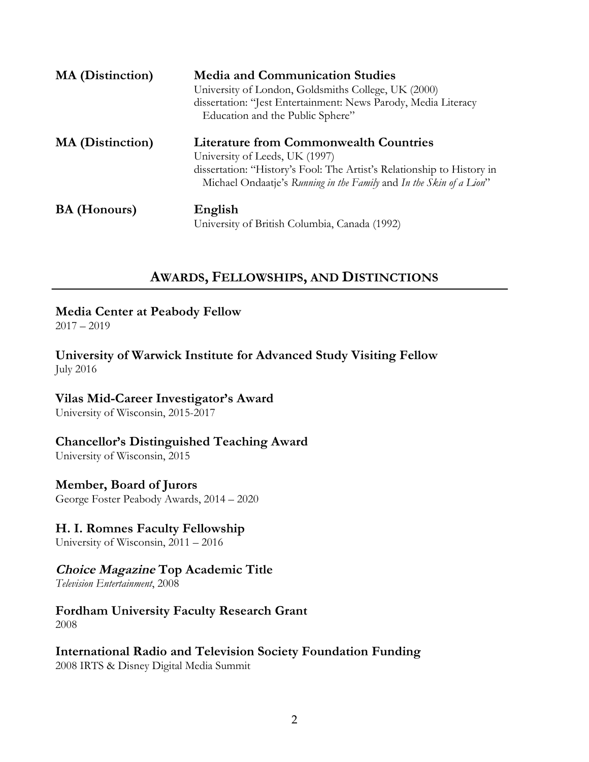| <b>MA</b> (Distinction) | <b>Media and Communication Studies</b><br>University of London, Goldsmiths College, UK (2000)<br>dissertation: "Jest Entertainment: News Parody, Media Literacy<br>Education and the Public Sphere"                              |
|-------------------------|----------------------------------------------------------------------------------------------------------------------------------------------------------------------------------------------------------------------------------|
| <b>MA</b> (Distinction) | <b>Literature from Commonwealth Countries</b><br>University of Leeds, UK (1997)<br>dissertation: "History's Fool: The Artist's Relationship to History in<br>Michael Ondaatje's Running in the Family and In the Skin of a Lion" |
| <b>BA</b> (Honours)     | English<br>University of British Columbia, Canada (1992)                                                                                                                                                                         |

# **AWARDS, FELLOWSHIPS, AND DISTINCTIONS**

### **Media Center at Peabody Fellow**

2017 – 2019

**University of Warwick Institute for Advanced Study Visiting Fellow** July 2016

### **Vilas Mid-Career Investigator's Award**

University of Wisconsin, 2015-2017

# **Chancellor's Distinguished Teaching Award**

University of Wisconsin, 2015

### **Member, Board of Jurors**

George Foster Peabody Awards, 2014 – 2020

### **H. I. Romnes Faculty Fellowship**

University of Wisconsin, 2011 – 2016

# **Choice Magazine Top Academic Title**

*Television Entertainment*, 2008

# **Fordham University Faculty Research Grant**

2008

# **International Radio and Television Society Foundation Funding**

2008 IRTS & Disney Digital Media Summit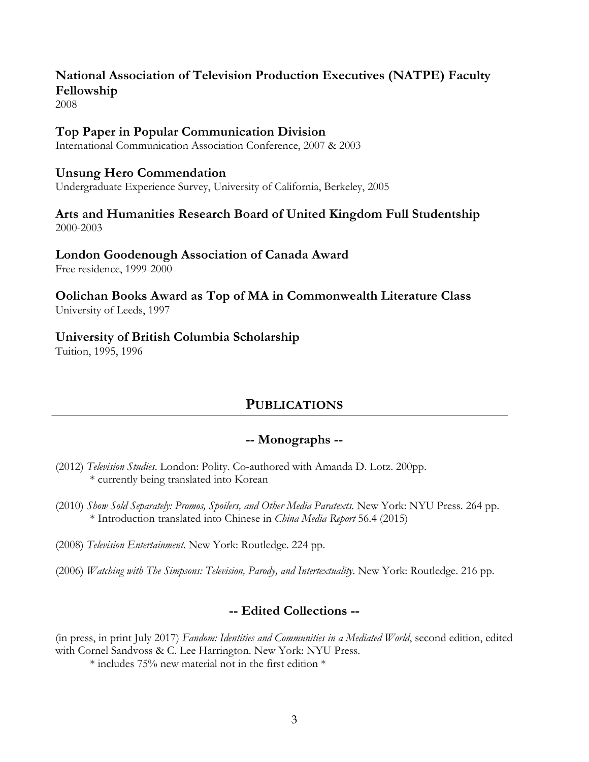# **National Association of Television Production Executives (NATPE) Faculty Fellowship**

2008

### **Top Paper in Popular Communication Division**

International Communication Association Conference, 2007 & 2003

### **Unsung Hero Commendation**

Undergraduate Experience Survey, University of California, Berkeley, 2005

# **Arts and Humanities Research Board of United Kingdom Full Studentship**

2000-2003

### **London Goodenough Association of Canada Award**

Free residence, 1999-2000

### **Oolichan Books Award as Top of MA in Commonwealth Literature Class** University of Leeds, 1997

### **University of British Columbia Scholarship**

Tuition, 1995, 1996

# **PUBLICATIONS**

### **-- Monographs --**

- (2012) *Television Studies*. London: Polity. Co-authored with Amanda D. Lotz. 200pp. \* currently being translated into Korean
- (2010) *Show Sold Separately: Promos, Spoilers, and Other Media Paratexts*. New York: NYU Press. 264 pp. \* Introduction translated into Chinese in *China Media Report* 56.4 (2015)
- (2008) *Television Entertainment*. New York: Routledge. 224 pp.
- (2006) *Watching with The Simpsons: Television, Parody, and Intertextuality*. New York: Routledge. 216 pp.

# **-- Edited Collections --**

(in press, in print July 2017) *Fandom: Identities and Communities in a Mediated World*, second edition, edited with Cornel Sandvoss & C. Lee Harrington. New York: NYU Press.

 $*$  includes 75% new material not in the first edition  $*$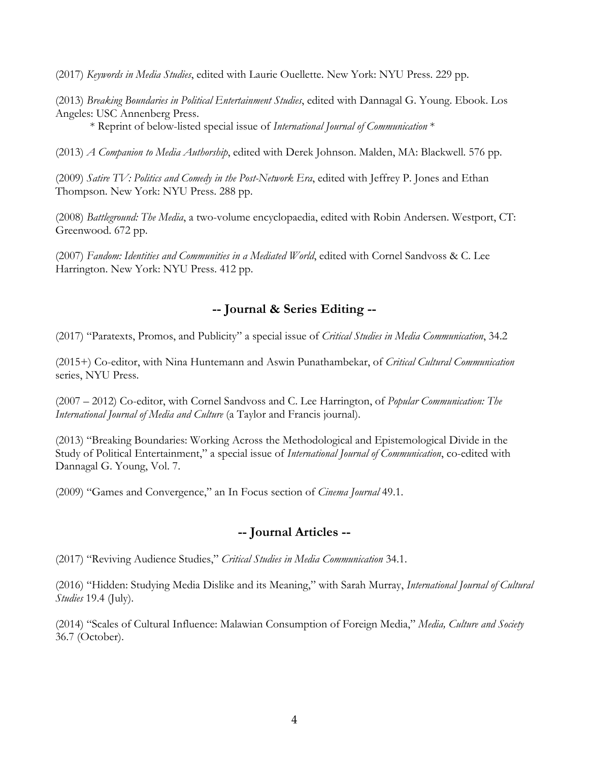(2017) *Keywords in Media Studies*, edited with Laurie Ouellette. New York: NYU Press. 229 pp.

(2013) *Breaking Boundaries in Political Entertainment Studies*, edited with Dannagal G. Young. Ebook. Los Angeles: USC Annenberg Press.

\* Reprint of below-listed special issue of *International Journal of Communication* \*

(2013) *A Companion to Media Authorship*, edited with Derek Johnson. Malden, MA: Blackwell. 576 pp.

(2009) *Satire TV: Politics and Comedy in the Post-Network Era*, edited with Jeffrey P. Jones and Ethan Thompson. New York: NYU Press. 288 pp.

(2008) *Battleground: The Media*, a two-volume encyclopaedia, edited with Robin Andersen. Westport, CT: Greenwood. 672 pp.

(2007) *Fandom: Identities and Communities in a Mediated World*, edited with Cornel Sandvoss & C. Lee Harrington. New York: NYU Press. 412 pp.

### **-- Journal & Series Editing --**

(2017) "Paratexts, Promos, and Publicity" a special issue of *Critical Studies in Media Communication*, 34.2

(2015+) Co-editor, with Nina Huntemann and Aswin Punathambekar, of *Critical Cultural Communication* series, NYU Press.

(2007 – 2012) Co-editor, with Cornel Sandvoss and C. Lee Harrington, of *Popular Communication: The International Journal of Media and Culture* (a Taylor and Francis journal).

(2013) "Breaking Boundaries: Working Across the Methodological and Epistemological Divide in the Study of Political Entertainment," a special issue of *International Journal of Communication*, co-edited with Dannagal G. Young, Vol. 7.

(2009) "Games and Convergence," an In Focus section of *Cinema Journal* 49.1.

### **-- Journal Articles --**

(2017) "Reviving Audience Studies," *Critical Studies in Media Communication* 34.1.

(2016) "Hidden: Studying Media Dislike and its Meaning," with Sarah Murray, *International Journal of Cultural Studies* 19.4 (July).

(2014) "Scales of Cultural Influence: Malawian Consumption of Foreign Media," *Media, Culture and Society* 36.7 (October).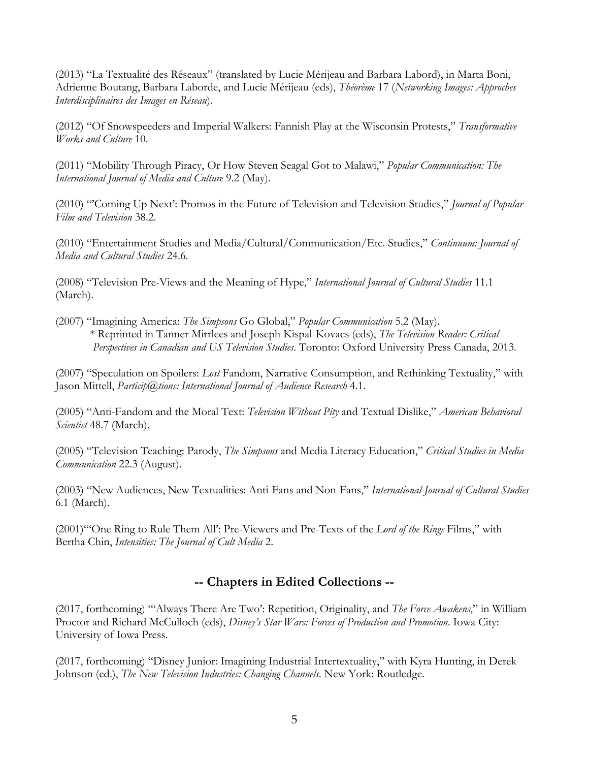(2013) "La Textualité des Réseaux" (translated by Lucie Mérijeau and Barbara Labord), in Marta Boni, Adrienne Boutang, Barbara Laborde, and Lucie Mérijeau (eds), *Théorème* 17 (*Networking Images: Approches Interdisciplinaires des Images en Réseau*).

(2012) "Of Snowspeeders and Imperial Walkers: Fannish Play at the Wisconsin Protests," *Transformative Works and Culture* 10.

(2011) "Mobility Through Piracy, Or How Steven Seagal Got to Malawi," *Popular Communication: The International Journal of Media and Culture* 9.2 (May).

(2010) "'Coming Up Next': Promos in the Future of Television and Television Studies," *Journal of Popular Film and Television* 38.2.

(2010) "Entertainment Studies and Media/Cultural/Communication/Etc. Studies," *Continuum: Journal of Media and Cultural Studies* 24.6.

(2008) "Television Pre-Views and the Meaning of Hype," *International Journal of Cultural Studies* 11.1 (March).

(2007) "Imagining America: *The Simpsons* Go Global," *Popular Communication* 5.2 (May). \* Reprinted in Tanner Mirrlees and Joseph Kispal-Kovacs (eds), *The Television Reader: Critical Perspectives in Canadian and US Television Studies*. Toronto: Oxford University Press Canada, 2013.

(2007) "Speculation on Spoilers: *Lost* Fandom, Narrative Consumption, and Rethinking Textuality," with Jason Mittell, *Particip@tions: International Journal of Audience Research* 4.1.

(2005) "Anti-Fandom and the Moral Text: *Television Without Pity* and Textual Dislike," *American Behavioral Scientist* 48.7 (March).

(2005) "Television Teaching: Parody, *The Simpsons* and Media Literacy Education," *Critical Studies in Media Communication* 22.3 (August).

(2003) "New Audiences, New Textualities: Anti-Fans and Non-Fans," *International Journal of Cultural Studies* 6.1 (March).

(2001)"'One Ring to Rule Them All': Pre-Viewers and Pre-Texts of the *Lord of the Rings* Films," with Bertha Chin, *Intensities: The Journal of Cult Media* 2.

# **-- Chapters in Edited Collections --**

(2017, forthcoming) "'Always There Are Two': Repetition, Originality, and *The Force Awakens*," in William Proctor and Richard McCulloch (eds), *Disney's Star Wars: Forces of Production and Promotion*. Iowa City: University of Iowa Press.

(2017, forthcoming) "Disney Junior: Imagining Industrial Intertextuality," with Kyra Hunting, in Derek Johnson (ed.), *The New Television Industries: Changing Channels*. New York: Routledge.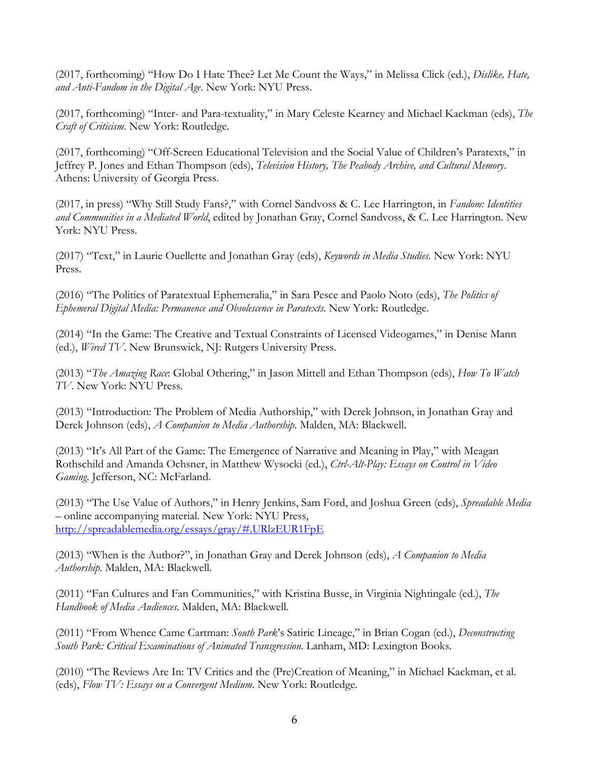(2017, forthcoming) "How Do I Hate Thee? Let Me Count the Ways," in Melissa Click (ed.), *Dislike, Hate, and Anti-Fandom in the Digital Age*. New York: NYU Press.

(2017, forthcoming) "Inter- and Para-textuality," in Mary Celeste Kearney and Michael Kackman (eds), *The Craft of Criticism*. New York: Routledge.

(2017, forthcoming) "Off-Screen Educational Television and the Social Value of Children's Paratexts," in Jeffrey P. Jones and Ethan Thompson (eds), *Television History, The Peabody Archive, and Cultural Memory*. Athens: University of Georgia Press.

(2017, in press) "Why Still Study Fans?," with Cornel Sandvoss & C. Lee Harrington, in *Fandom: Identities and Communities in a Mediated World*, edited by Jonathan Gray, Cornel Sandvoss, & C. Lee Harrington. New York: NYU Press.

(2017) "Text," in Laurie Ouellette and Jonathan Gray (eds), *Keywords in Media Studies*. New York: NYU Press.

(2016) "The Politics of Paratextual Ephemeralia," in Sara Pesce and Paolo Noto (eds), *The Politics of Ephemeral Digital Media: Permanence and Obsolescence in Paratexts*. New York: Routledge.

(2014) "In the Game: The Creative and Textual Constraints of Licensed Videogames," in Denise Mann (ed.), *Wired TV*. New Brunswick, NJ: Rutgers University Press.

(2013) "*The Amazing Race*: Global Othering," in Jason Mittell and Ethan Thompson (eds), *How To Watch TV*. New York: NYU Press.

(2013) "Introduction: The Problem of Media Authorship," with Derek Johnson, in Jonathan Gray and Derek Johnson (eds), *A Companion to Media Authorship*. Malden, MA: Blackwell.

(2013) "It's All Part of the Game: The Emergence of Narrative and Meaning in Play," with Meagan Rothschild and Amanda Ochsner, in Matthew Wysocki (ed.), *Ctrl-Alt-Play: Essays on Control in Video Gaming*. Jefferson, NC: McFarland.

(2013) "The Use Value of Authors," in Henry Jenkins, Sam Ford, and Joshua Green (eds), *Spreadable Media* – online accompanying material. New York: NYU Press, http://spreadablemedia.org/essays/gray/#.URlzEUR1FpE

(2013) "When is the Author?", in Jonathan Gray and Derek Johnson (eds), *A Companion to Media Authorship*. Malden, MA: Blackwell.

(2011) "Fan Cultures and Fan Communities," with Kristina Busse, in Virginia Nightingale (ed.), *The Handbook of Media Audiences*. Malden, MA: Blackwell.

(2011) "From Whence Came Cartman: *South Park*'s Satiric Lineage," in Brian Cogan (ed.), *Deconstructing South Park: Critical Examinations of Animated Transgression*. Lanham, MD: Lexington Books.

(2010) "The Reviews Are In: TV Critics and the (Pre)Creation of Meaning," in Michael Kackman, et al. (eds), *Flow TV: Essays on a Convergent Medium*. New York: Routledge.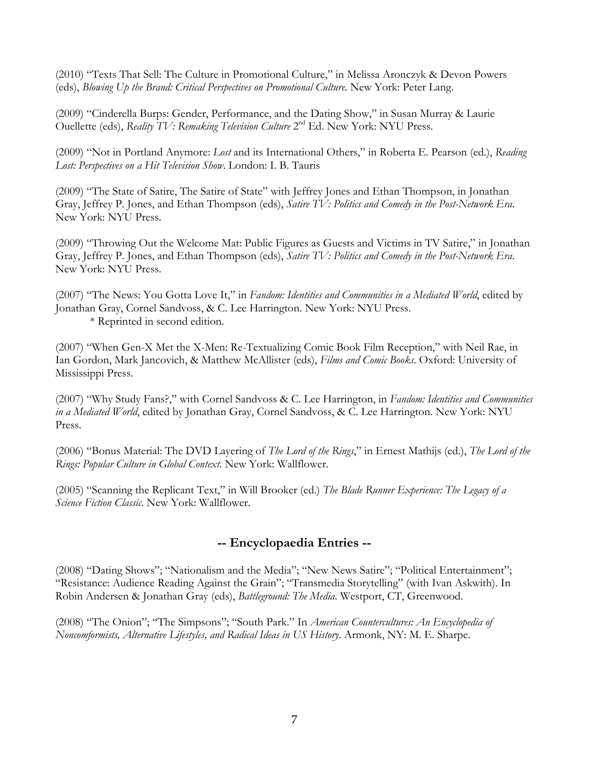(2010) "Texts That Sell: The Culture in Promotional Culture," in Melissa Aronczyk & Devon Powers (eds), *Blowing Up the Brand: Critical Perspectives on Promotional Culture*. New York: Peter Lang.

(2009) "Cinderella Burps: Gender, Performance, and the Dating Show," in Susan Murray & Laurie Ouellette (eds), *Reality TV: Remaking Television Culture* 2<sup>nd</sup> Ed. New York: NYU Press.

(2009) "Not in Portland Anymore: *Lost* and its International Others," in Roberta E. Pearson (ed.), *Reading Lost: Perspectives on a Hit Television Show*. London: I. B. Tauris

(2009) "The State of Satire, The Satire of State" with Jeffrey Jones and Ethan Thompson, in Jonathan Gray, Jeffrey P. Jones, and Ethan Thompson (eds), *Satire TV: Politics and Comedy in the Post-Network Era*. New York: NYU Press.

(2009) "Throwing Out the Welcome Mat: Public Figures as Guests and Victims in TV Satire," in Jonathan Gray, Jeffrey P. Jones, and Ethan Thompson (eds), *Satire TV: Politics and Comedy in the Post-Network Era*. New York: NYU Press.

(2007) "The News: You Gotta Love It," in *Fandom: Identities and Communities in a Mediated World*, edited by Jonathan Gray, Cornel Sandvoss, & C. Lee Harrington. New York: NYU Press. \* Reprinted in second edition.

(2007) "When Gen-X Met the X-Men: Re-Textualizing Comic Book Film Reception," with Neil Rae, in Ian Gordon, Mark Jancovich, & Matthew McAllister (eds), *Films and Comic Books*. Oxford: University of Mississippi Press.

(2007) "Why Study Fans?," with Cornel Sandvoss & C. Lee Harrington, in *Fandom: Identities and Communities in a Mediated World*, edited by Jonathan Gray, Cornel Sandvoss, & C. Lee Harrington. New York: NYU Press.

(2006) "Bonus Material: The DVD Layering of *The Lord of the Rings*," in Ernest Mathijs (ed.), *The Lord of the Rings: Popular Culture in Global Context*. New York: Wallflower.

(2005) "Scanning the Replicant Text," in Will Brooker (ed.) *The Blade Runner Experience: The Legacy of a Science Fiction Classic*. New York: Wallflower.

# **-- Encyclopaedia Entries --**

(2008) "Dating Shows"; "Nationalism and the Media"; "New News Satire"; "Political Entertainment"; "Resistance: Audience Reading Against the Grain"; "Transmedia Storytelling" (with Ivan Askwith). In Robin Andersen & Jonathan Gray (eds), *Battleground: The Media*. Westport, CT, Greenwood.

(2008) "The Onion"; "The Simpsons"; "South Park." In *American Countercultures: An Encyclopedia of Noncomformists, Alternative Lifestyles, and Radical Ideas in US History*. Armonk, NY: M. E. Sharpe.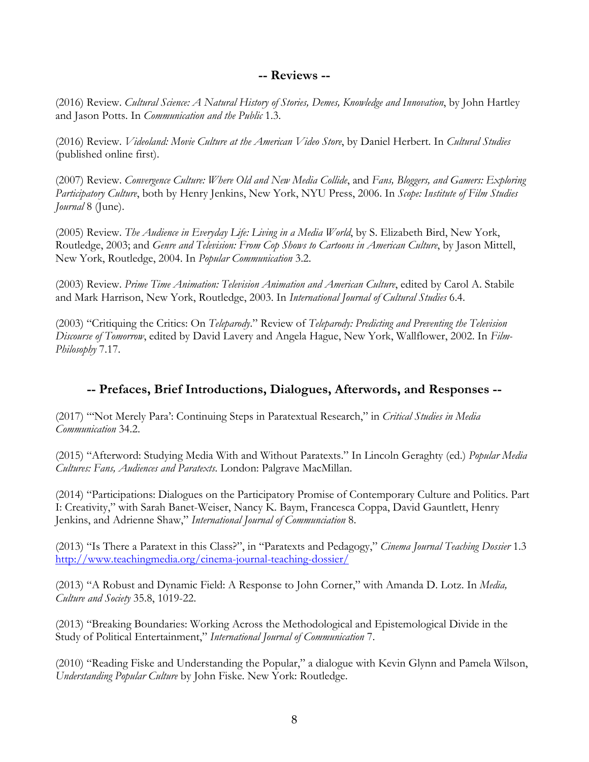### **-- Reviews --**

(2016) Review. *Cultural Science: A Natural History of Stories, Demes, Knowledge and Innovation*, by John Hartley and Jason Potts. In *Communication and the Public* 1.3.

(2016) Review. *Videoland: Movie Culture at the American Video Store*, by Daniel Herbert. In *Cultural Studies* (published online first).

(2007) Review. *Convergence Culture: Where Old and New Media Collide*, and *Fans, Bloggers, and Gamers: Exploring Participatory Culture*, both by Henry Jenkins, New York, NYU Press, 2006. In *Scope: Institute of Film Studies Journal* 8 (June).

(2005) Review. *The Audience in Everyday Life: Living in a Media World*, by S. Elizabeth Bird, New York, Routledge, 2003; and *Genre and Television: From Cop Shows to Cartoons in American Culture*, by Jason Mittell, New York, Routledge, 2004. In *Popular Communication* 3.2.

(2003) Review. *Prime Time Animation: Television Animation and American Culture*, edited by Carol A. Stabile and Mark Harrison, New York, Routledge, 2003. In *International Journal of Cultural Studies* 6.4.

(2003) "Critiquing the Critics: On *Teleparody*." Review of *Teleparody: Predicting and Preventing the Television Discourse of Tomorrow*, edited by David Lavery and Angela Hague, New York, Wallflower, 2002. In *Film-Philosophy* 7.17.

### **-- Prefaces, Brief Introductions, Dialogues, Afterwords, and Responses --**

(2017) "'Not Merely Para': Continuing Steps in Paratextual Research," in *Critical Studies in Media Communication* 34.2.

(2015) "Afterword: Studying Media With and Without Paratexts." In Lincoln Geraghty (ed.) *Popular Media Cultures: Fans, Audiences and Paratexts*. London: Palgrave MacMillan.

(2014) "Participations: Dialogues on the Participatory Promise of Contemporary Culture and Politics. Part I: Creativity," with Sarah Banet-Weiser, Nancy K. Baym, Francesca Coppa, David Gauntlett, Henry Jenkins, and Adrienne Shaw," *International Journal of Communciation* 8.

(2013) "Is There a Paratext in this Class?", in "Paratexts and Pedagogy," *Cinema Journal Teaching Dossier* 1.3 http://www.teachingmedia.org/cinema-journal-teaching-dossier/

(2013) "A Robust and Dynamic Field: A Response to John Corner," with Amanda D. Lotz. In *Media, Culture and Society* 35.8, 1019-22.

(2013) "Breaking Boundaries: Working Across the Methodological and Epistemological Divide in the Study of Political Entertainment," *International Journal of Communication* 7.

(2010) "Reading Fiske and Understanding the Popular," a dialogue with Kevin Glynn and Pamela Wilson, *Understanding Popular Culture* by John Fiske. New York: Routledge.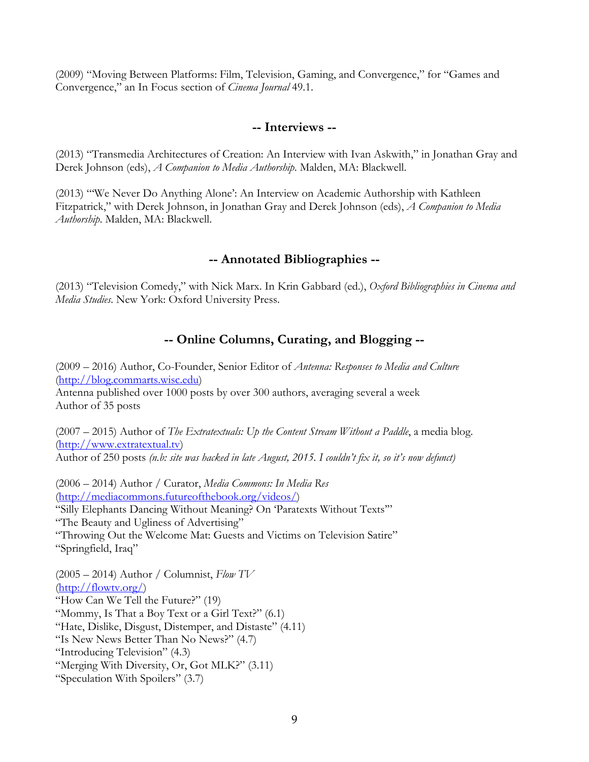(2009) "Moving Between Platforms: Film, Television, Gaming, and Convergence," for "Games and Convergence," an In Focus section of *Cinema Journal* 49.1.

### **-- Interviews --**

(2013) "Transmedia Architectures of Creation: An Interview with Ivan Askwith," in Jonathan Gray and Derek Johnson (eds), *A Companion to Media Authorship*. Malden, MA: Blackwell.

(2013) "'We Never Do Anything Alone': An Interview on Academic Authorship with Kathleen Fitzpatrick," with Derek Johnson, in Jonathan Gray and Derek Johnson (eds), *A Companion to Media Authorship*. Malden, MA: Blackwell.

### **-- Annotated Bibliographies --**

(2013) "Television Comedy," with Nick Marx. In Krin Gabbard (ed.), *Oxford Bibliographies in Cinema and Media Studies*. New York: Oxford University Press.

### **-- Online Columns, Curating, and Blogging --**

(2009 – 2016) Author, Co-Founder, Senior Editor of *Antenna: Responses to Media and Culture* (http://blog.commarts.wisc.edu) Antenna published over 1000 posts by over 300 authors, averaging several a week Author of 35 posts

(2007 – 2015) Author of *The Extratextuals: Up the Content Stream Without a Paddle*, a media blog. (http://www.extratextual.tv) Author of 250 posts *(n.b: site was hacked in late August, 2015. I couldn't fix it, so it's now defunct)*

(2006 – 2014) Author / Curator, *Media Commons: In Media Res* (http://mediacommons.futureofthebook.org/videos/) "Silly Elephants Dancing Without Meaning? On 'Paratexts Without Texts'" "The Beauty and Ugliness of Advertising" "Throwing Out the Welcome Mat: Guests and Victims on Television Satire" "Springfield, Iraq"

(2005 – 2014) Author / Columnist, *Flow TV* (http://flowtv.org/) "How Can We Tell the Future?" (19) "Mommy, Is That a Boy Text or a Girl Text?" (6.1) "Hate, Dislike, Disgust, Distemper, and Distaste" (4.11) "Is New News Better Than No News?" (4.7) "Introducing Television" (4.3) "Merging With Diversity, Or, Got MLK?" (3.11) "Speculation With Spoilers" (3.7)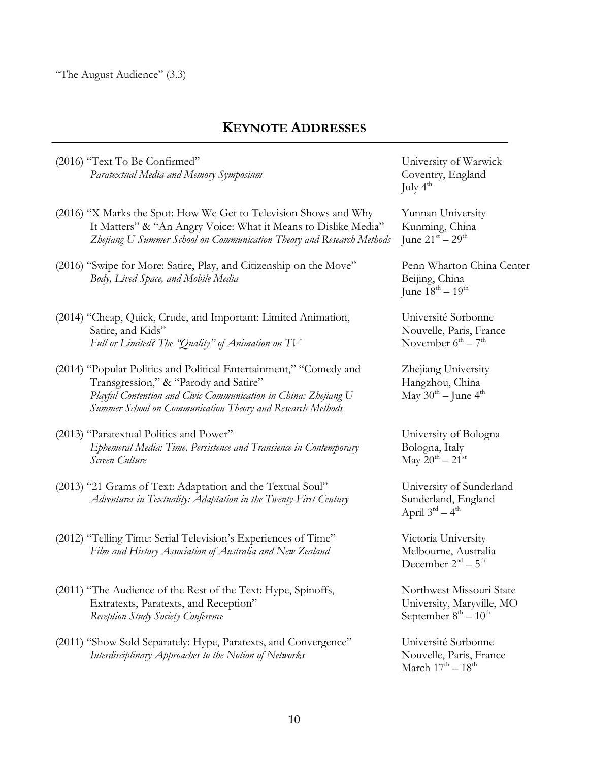### **KEYNOTE ADDRESSES**

(2016) "Text To Be Confirmed" University of Warwick Paratextual Media and Memory Symposium **Coventry**, England

- (2016) "X Marks the Spot: How We Get to Television Shows and Why Yunnan University It Matters" & "An Angry Voice: What it Means to Dislike Media" Kunming, China *Zhejiang U Summer School on Communication Theory and Research Methods* June 21st – 29th
- (2016) "Swipe for More: Satire, Play, and Citizenship on the Move" Penn Wharton China Center *Body, Lived Space, and Mobile Media* Beijing, China
- (2014) "Cheap, Quick, Crude, and Important: Limited Animation, Université Sorbonne Satire, and Kids"<br>
Full or Limited? The "Quality" of Animation on TV November  $6<sup>th</sup> - 7<sup>th</sup>$ Full or Limited? The "Quality" of Animation on TV
- (2014) "Popular Politics and Political Entertainment," "Comedy and Zhejiang University Transgression," & "Parody and Satire" Transgression, "Hangzhou, China *Playful Contention and Civic Communication in China: Zhejiang U* May 30<sup>th</sup> – June 4<sup>th</sup> *Summer School on Communication Theory and Research Methods*
- (2013) "Paratextual Politics and Power" University of Bologna *Ephemeral Media: Time, Persistence and Transience in Contemporary* Bologna, Italy *Screen Culture* May  $20^{th} - 21^{st}$
- (2013) "21 Grams of Text: Adaptation and the Textual Soul" University of Sunderland *Adventures in Textuality: Adaptation in the Twenty-First Century* Sunderland, England
- (2012) "Telling Time: Serial Television's Experiences of Time" Victoria University *Film and History Association of Australia and New Zealand* Melbourne, Australia
- (2011) "The Audience of the Rest of the Text: Hype, Spinoffs, Northwest Missouri State Extratexts, Paratexts, and Reception" University, Maryville, MO *Reception Study Society Conference* September 8<sup>th</sup> – 10<sup>th</sup>
- (2011) "Show Sold Separately: Hype, Paratexts, and Convergence" Université Sorbonne *Interdisciplinary Approaches to the Notion of Networks* Nouvelle, Paris, France

July  $4^{\text{th}}$ 

June  $18^{th} - 19^{th}$ 

April  $3^{rd} - 4^{th}$ 

December  $2<sup>nd</sup> - 5<sup>th</sup>$ 

March  $17^{\text{th}} - 18^{\text{th}}$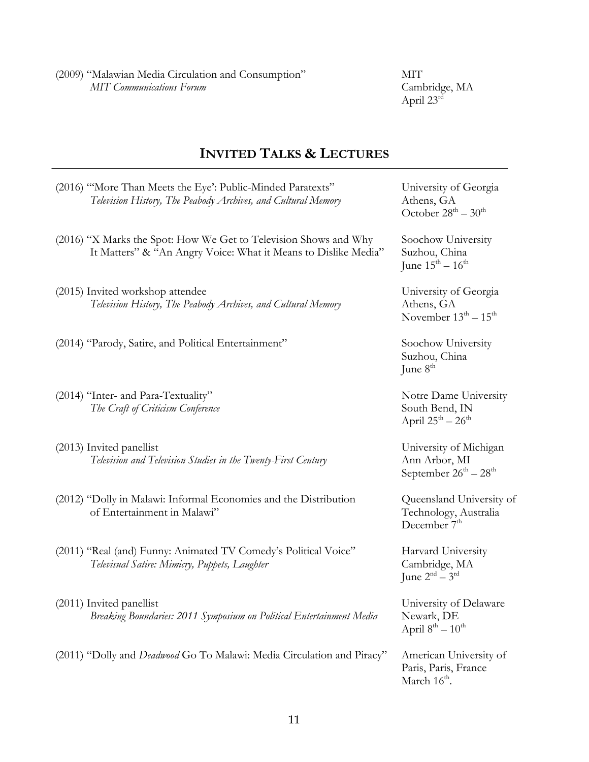(2009) "Malawian Media Circulation and Consumption" MIT *MIT Communications Forum* Cambridge, MA

Cambridge, MA<br>April 23<sup>rd</sup>

# **INVITED TALKS & LECTURES**

| (2016) "More Than Meets the Eye': Public-Minded Paratexts"<br>Television History, The Peabody Archives, and Cultural Memory        | University of Georgia<br>Athens, GA<br>October $28^{\text{th}} - 30^{\text{th}}$  |
|------------------------------------------------------------------------------------------------------------------------------------|-----------------------------------------------------------------------------------|
| (2016) "X Marks the Spot: How We Get to Television Shows and Why<br>It Matters" & "An Angry Voice: What it Means to Dislike Media" | Soochow University<br>Suzhou, China<br>June $15^{th} - 16^{th}$                   |
| (2015) Invited workshop attendee<br>Television History, The Peabody Archives, and Cultural Memory                                  | University of Georgia<br>Athens, GA<br>November $13^{\text{th}} - 15^{\text{th}}$ |
| (2014) "Parody, Satire, and Political Entertainment"                                                                               | Soochow University<br>Suzhou, China<br>June $8th$                                 |
| (2014) "Inter- and Para-Textuality"<br>The Craft of Criticism Conference                                                           | Notre Dame University<br>South Bend, IN<br>April $25^{th} - 26^{th}$              |
| (2013) Invited panellist<br>Television and Television Studies in the Twenty-First Century                                          | University of Michigan<br>Ann Arbor, MI<br>September $26^{th} - 28^{th}$          |
| (2012) "Dolly in Malawi: Informal Economies and the Distribution<br>of Entertainment in Malawi"                                    | Queensland University of<br>Technology, Australia<br>December 7 <sup>th</sup>     |
| (2011) "Real (and) Funny: Animated TV Comedy's Political Voice"<br>Televisual Satire: Mimicry, Puppets, Laughter                   | Harvard University<br>Cambridge, MA<br>June $2nd - 3rd$                           |
| (2011) Invited panellist<br>Breaking Boundaries: 2011 Symposium on Political Entertainment Media                                   | University of Delaware<br>Newark, DE<br>April $8^{th} - 10^{th}$                  |
| (2011) "Dolly and Deadwood Go To Malawi: Media Circulation and Piracy"                                                             | American University of<br>Paris, Paris, France<br>March $16^{\text{th}}$ .        |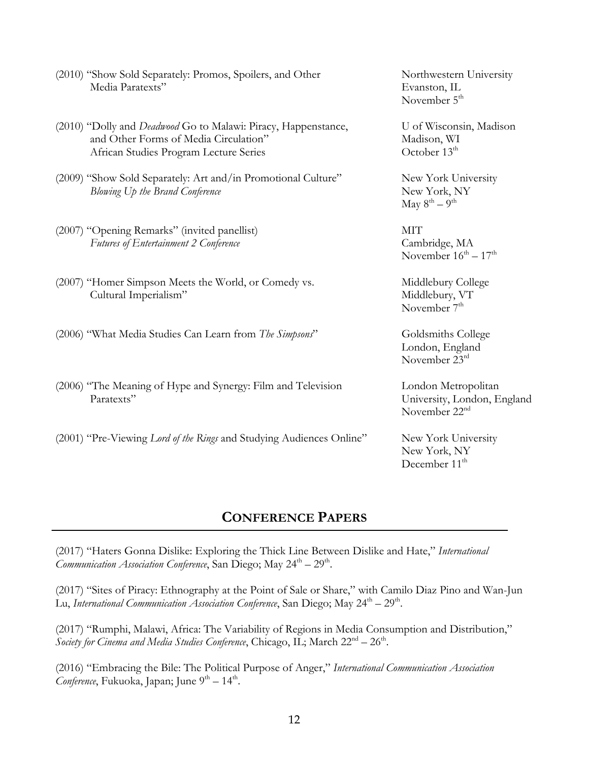| (2010) "Show Sold Separately: Promos, Spoilers, and Other<br>Media Paratexts"                                                                     | Northwestern University<br>Evanston, IL<br>November 5 <sup>th</sup>             |
|---------------------------------------------------------------------------------------------------------------------------------------------------|---------------------------------------------------------------------------------|
| (2010) "Dolly and Deadwood Go to Malawi: Piracy, Happenstance,<br>and Other Forms of Media Circulation"<br>African Studies Program Lecture Series | U of Wisconsin, Madison<br>Madison, WI<br>October 13 <sup>th</sup>              |
| (2009) "Show Sold Separately: Art and/in Promotional Culture"<br>Blowing Up the Brand Conference                                                  | New York University<br>New York, NY<br>May $8^{th} - 9^{th}$                    |
| (2007) "Opening Remarks" (invited panellist)<br>Futures of Entertainment 2 Conference                                                             | <b>MIT</b><br>Cambridge, MA<br>November $16^{th} - 17^{th}$                     |
| (2007) "Homer Simpson Meets the World, or Comedy vs.<br>Cultural Imperialism"                                                                     | Middlebury College<br>Middlebury, VT<br>November $7th$                          |
| (2006) "What Media Studies Can Learn from The Simpsons"                                                                                           | Goldsmiths College<br>London, England<br>November 23rd                          |
| (2006) "The Meaning of Hype and Synergy: Film and Television<br>Paratexts"                                                                        | London Metropolitan<br>University, London, England<br>November 22 <sup>nd</sup> |
| (2001) "Pre-Viewing Lord of the Rings and Studying Audiences Online"                                                                              | New York University<br>New York, NY<br>December 11 <sup>th</sup>                |

# **CONFERENCE PAPERS**

(2017) "Haters Gonna Dislike: Exploring the Thick Line Between Dislike and Hate," *International Communication Association Conference*, San Diego; May 24<sup>th</sup> – 29<sup>th</sup>.

(2017) "Sites of Piracy: Ethnography at the Point of Sale or Share," with Camilo Diaz Pino and Wan-Jun Lu, International Communication Association Conference, San Diego; May 24<sup>th</sup> – 29<sup>th</sup>.

(2017) "Rumphi, Malawi, Africa: The Variability of Regions in Media Consumption and Distribution," Society for Cinema and Media Studies Conference, Chicago, IL; March 22<sup>nd</sup> – 26<sup>th</sup>.

(2016) "Embracing the Bile: The Political Purpose of Anger," *International Communication Association Conference*, Fukuoka, Japan; June 9<sup>th</sup> - 14<sup>th</sup>.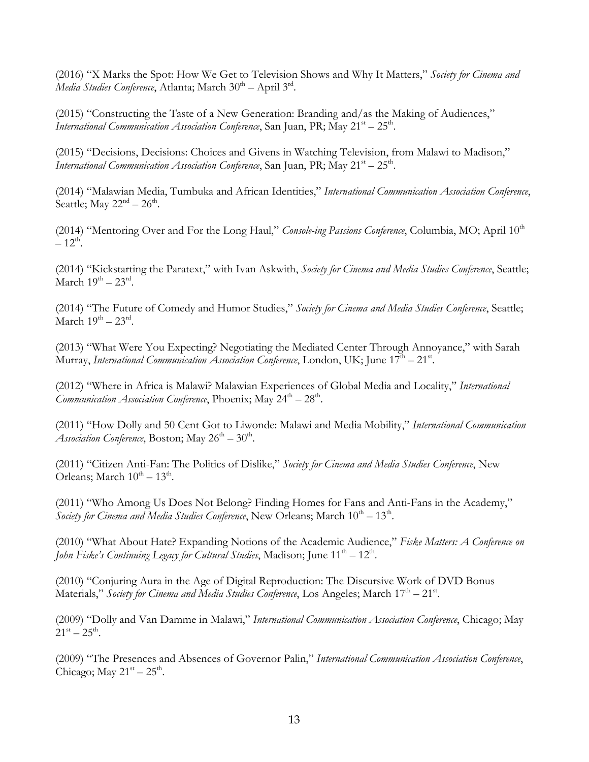(2016) "X Marks the Spot: How We Get to Television Shows and Why It Matters," *Society for Cinema and Media Studies Conference*, Atlanta; March 30<sup>th</sup> – April 3<sup>rd</sup>.

(2015) "Constructing the Taste of a New Generation: Branding and/as the Making of Audiences," *International Communication Association Conference*, San Juan, PR; May  $21^{st} - 25^{th}$ .

(2015) "Decisions, Decisions: Choices and Givens in Watching Television, from Malawi to Madison," *International Communication Association Conference*, San Juan, PR; May  $21<sup>st</sup> - 25<sup>th</sup>$ .

(2014) "Malawian Media, Tumbuka and African Identities," *International Communication Association Conference*, Seattle; May  $22<sup>nd</sup> - 26<sup>th</sup>$ .

(2014) "Mentoring Over and For the Long Haul," *Console-ing Passions Conference*, Columbia, MO; April 10<sup>th</sup>  $-12^{th}$ .

(2014) "Kickstarting the Paratext," with Ivan Askwith, *Society for Cinema and Media Studies Conference*, Seattle; March  $19^{th} - 23^{rd}$ .

(2014) "The Future of Comedy and Humor Studies," *Society for Cinema and Media Studies Conference*, Seattle; March  $19^{th} - 23^{rd}$ .

(2013) "What Were You Expecting? Negotiating the Mediated Center Through Annoyance," with Sarah Murray, International Communication Association Conference, London, UK; June 17<sup>th</sup> – 21st.

(2012) "Where in Africa is Malawi? Malawian Experiences of Global Media and Locality," *International Communication Association Conference*, Phoenix; May  $24^{th} - 28^{th}$ .

(2011) "How Dolly and 50 Cent Got to Liwonde: Malawi and Media Mobility," *International Communication Association Conference*, Boston; May  $26^{th} - 30^{th}$ .

(2011) "Citizen Anti-Fan: The Politics of Dislike," *Society for Cinema and Media Studies Conference*, New Orleans; March  $10^{th} - 13^{th}$ .

(2011) "Who Among Us Does Not Belong? Finding Homes for Fans and Anti-Fans in the Academy," *Society* for *Cinema and Media Studies Conference*, New Orleans; March  $10^{th} - 13^{th}$ .

(2010) "What About Hate? Expanding Notions of the Academic Audience," *Fiske Matters: A Conference on John Fiske's Continuing Legacy for Cultural Studies*, Madison; June 11<sup>th</sup> – 12<sup>th</sup>.

(2010) "Conjuring Aura in the Age of Digital Reproduction: The Discursive Work of DVD Bonus Materials," Society for Cinema and Media Studies Conference, Los Angeles; March 17<sup>th</sup> – 21<sup>st</sup>.

(2009) "Dolly and Van Damme in Malawi," *International Communication Association Conference*, Chicago; May  $21^{\rm st} - 25^{\rm th}$ .

(2009) "The Presences and Absences of Governor Palin," *International Communication Association Conference*, Chicago; May  $21^{st} - 25^{th}$ .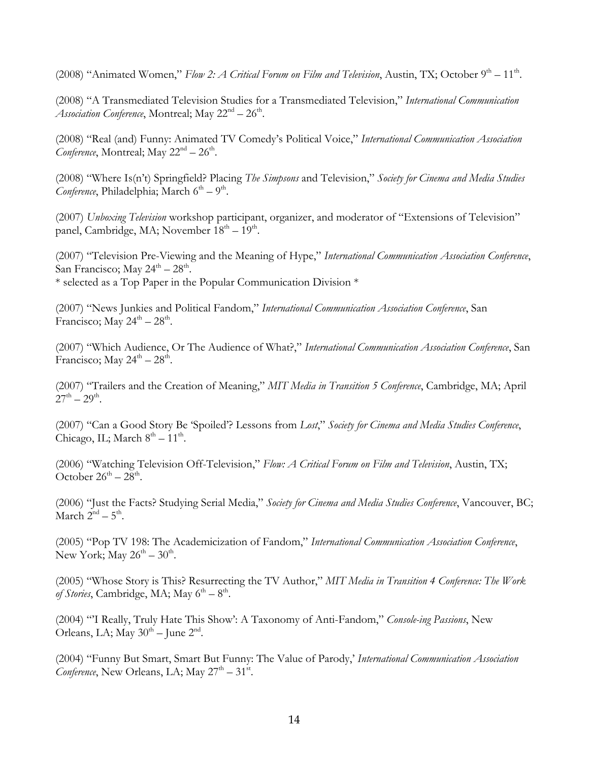(2008) "Animated Women," *Flow 2: A Critical Forum on Film and Television*, Austin, TX; October 9<sup>th</sup> – 11<sup>th</sup>.

(2008) "A Transmediated Television Studies for a Transmediated Television," *International Communication Association Conference*, Montreal; May  $22<sup>nd</sup> - 26<sup>th</sup>$ .

(2008) "Real (and) Funny: Animated TV Comedy's Political Voice," *International Communication Association Conference*, Montreal; May  $22<sup>nd</sup> - 26<sup>th</sup>$ .

(2008) "Where Is(n't) Springfield? Placing *The Simpsons* and Television," *Society for Cinema and Media Studies Conference*, Philadelphia; March  $6<sup>th</sup> - 9<sup>th</sup>$ .

(2007) *Unboxing Television* workshop participant, organizer, and moderator of "Extensions of Television" panel, Cambridge, MA; November  $18<sup>th</sup> - 19<sup>th</sup>$ .

(2007) "Television Pre-Viewing and the Meaning of Hype," *International Communication Association Conference*, San Francisco; May  $24^{\text{th}} - 28^{\text{th}}$ . \* selected as a Top Paper in the Popular Communication Division \*

(2007) "News Junkies and Political Fandom," *International Communication Association Conference*, San Francisco; May  $24^{\text{th}} - 28^{\text{th}}$ .

(2007) "Which Audience, Or The Audience of What?," *International Communication Association Conference*, San Francisco; May  $24^{\text{th}} - 28^{\text{th}}$ .

(2007) "Trailers and the Creation of Meaning," *MIT Media in Transition 5 Conference*, Cambridge, MA; April  $27^{th} - 29^{th}$ .

(2007) "Can a Good Story Be 'Spoiled'? Lessons from *Lost*," *Society for Cinema and Media Studies Conference*, Chicago, IL; March  $8<sup>th</sup> - 11<sup>th</sup>$ .

(2006) "Watching Television Off-Television," *Flow: A Critical Forum on Film and Television*, Austin, TX; October  $26^{th} - 28^{th}$ .

(2006) "Just the Facts? Studying Serial Media," *Society for Cinema and Media Studies Conference*, Vancouver, BC; March  $2^{nd}$  –  $5^{th}$ .

(2005) "Pop TV 198: The Academicization of Fandom," *International Communication Association Conference*, New York; May  $26^{th} - 30^{th}$ .

(2005) "Whose Story is This? Resurrecting the TV Author," *MIT Media in Transition 4 Conference: The Work of Stories*, Cambridge, MA; May  $6<sup>th</sup> - 8<sup>th</sup>$ .

(2004) "'I Really, Truly Hate This Show': A Taxonomy of Anti-Fandom," *Console-ing Passions*, New Orleans, LA; May  $30<sup>th</sup>$  – June  $2<sup>nd</sup>$ .

(2004) "Funny But Smart, Smart But Funny: The Value of Parody,' *International Communication Association*  Conference, New Orleans, LA; May 27<sup>th</sup> - 31<sup>st</sup>.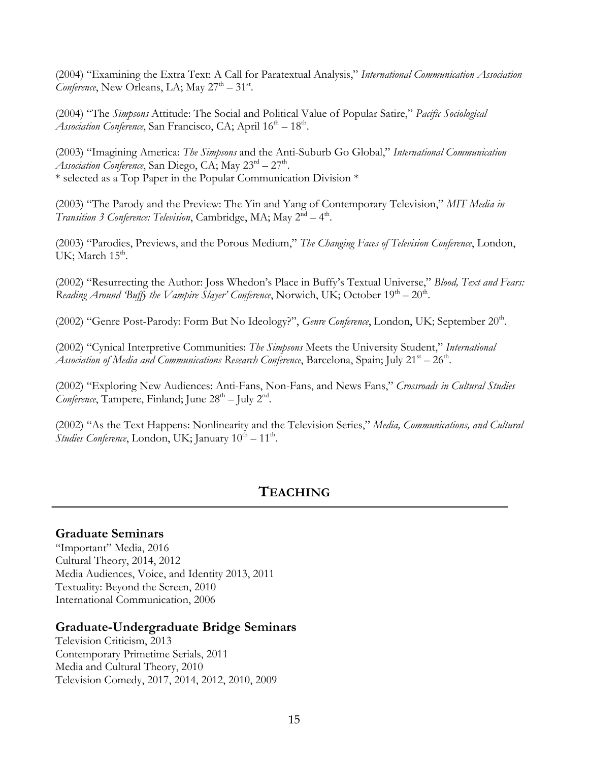(2004) "Examining the Extra Text: A Call for Paratextual Analysis," *International Communication Association Conference*, New Orleans, LA; May  $27<sup>th</sup> - 31<sup>st</sup>$ .

(2004) "The *Simpsons* Attitude: The Social and Political Value of Popular Satire," *Pacific Sociological Association Conference*, San Francisco, CA; April  $16<sup>th</sup> - 18<sup>th</sup>$ .

(2003) "Imagining America: *The Simpsons* and the Anti-Suburb Go Global," *International Communication Association Conference*, San Diego, CA; May  $23^{\text{rd}} - 27^{\text{th}}$ . \* selected as a Top Paper in the Popular Communication Division \*

(2003) "The Parody and the Preview: The Yin and Yang of Contemporary Television," *MIT Media in Transition 3 Conference: Television*, Cambridge, MA; May  $2^{nd} - 4^{th}$ .

(2003) "Parodies, Previews, and the Porous Medium," *The Changing Faces of Television Conference*, London, UK; March  $15<sup>th</sup>$ .

(2002) "Resurrecting the Author: Joss Whedon's Place in Buffy's Textual Universe," *Blood, Text and Fears: Reading Around 'Buffy the Vampire Slayer' Conference*, Norwich, UK; October  $19<sup>th</sup> - 20<sup>th</sup>$ .

(2002) "Genre Post-Parody: Form But No Ideology?", *Genre Conference*, London, UK; September 20<sup>th</sup>.

(2002) "Cynical Interpretive Communities: *The Simpsons* Meets the University Student," *International Association of Media and Communications Research Conference*, Barcelona, Spain; July  $21^{st} - 26^{th}$ .

(2002) "Exploring New Audiences: Anti-Fans, Non-Fans, and News Fans," *Crossroads in Cultural Studies Conference*, Tampere, Finland; June  $28<sup>th</sup> - \text{July } 2<sup>nd</sup>$ .

(2002) "As the Text Happens: Nonlinearity and the Television Series," *Media, Communications, and Cultural Studies Conference*, London, UK; January  $10^{th} - 11^{th}$ .

# **TEACHING**

### **Graduate Seminars**

"Important" Media, 2016 Cultural Theory, 2014, 2012 Media Audiences, Voice, and Identity 2013, 2011 Textuality: Beyond the Screen, 2010 International Communication, 2006

### **Graduate-Undergraduate Bridge Seminars**

Television Criticism, 2013 Contemporary Primetime Serials, 2011 Media and Cultural Theory, 2010 Television Comedy, 2017, 2014, 2012, 2010, 2009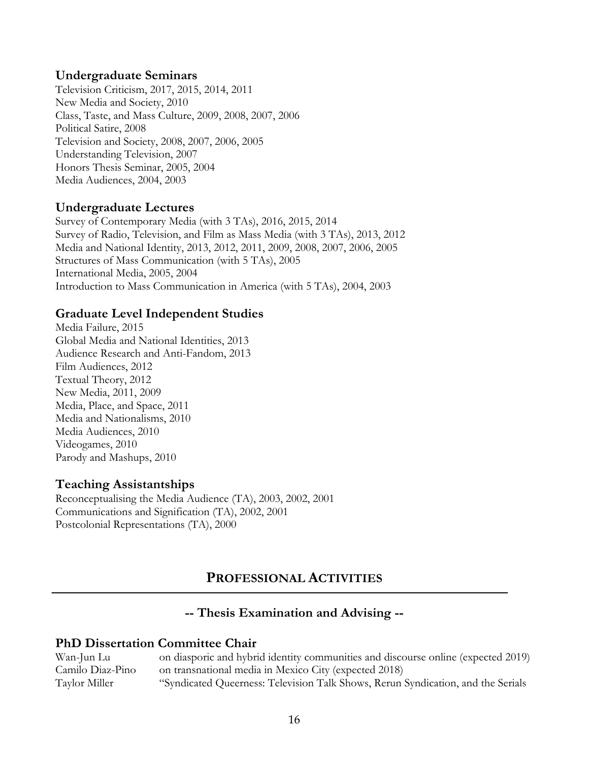### **Undergraduate Seminars**

Television Criticism, 2017, 2015, 2014, 2011 New Media and Society, 2010 Class, Taste, and Mass Culture, 2009, 2008, 2007, 2006 Political Satire, 2008 Television and Society, 2008, 2007, 2006, 2005 Understanding Television, 2007 Honors Thesis Seminar, 2005, 2004 Media Audiences, 2004, 2003

### **Undergraduate Lectures**

Survey of Contemporary Media (with 3 TAs), 2016, 2015, 2014 Survey of Radio, Television, and Film as Mass Media (with 3 TAs), 2013, 2012 Media and National Identity, 2013, 2012, 2011, 2009, 2008, 2007, 2006, 2005 Structures of Mass Communication (with 5 TAs), 2005 International Media, 2005, 2004 Introduction to Mass Communication in America (with 5 TAs), 2004, 2003

### **Graduate Level Independent Studies**

Media Failure, 2015 Global Media and National Identities, 2013 Audience Research and Anti-Fandom, 2013 Film Audiences, 2012 Textual Theory, 2012 New Media, 2011, 2009 Media, Place, and Space, 2011 Media and Nationalisms, 2010 Media Audiences, 2010 Videogames, 2010 Parody and Mashups, 2010

### **Teaching Assistantships**

Reconceptualising the Media Audience (TA), 2003, 2002, 2001 Communications and Signification (TA), 2002, 2001 Postcolonial Representations (TA), 2000

# **PROFESSIONAL ACTIVITIES**

# **-- Thesis Examination and Advising --**

### **PhD Dissertation Committee Chair**

Wan-Jun Lu on diasporic and hybrid identity communities and discourse online (expected 2019) Camilo Diaz-Pino on transnational media in Mexico City (expected 2018) Taylor Miller "Syndicated Queerness: Television Talk Shows, Rerun Syndication, and the Serials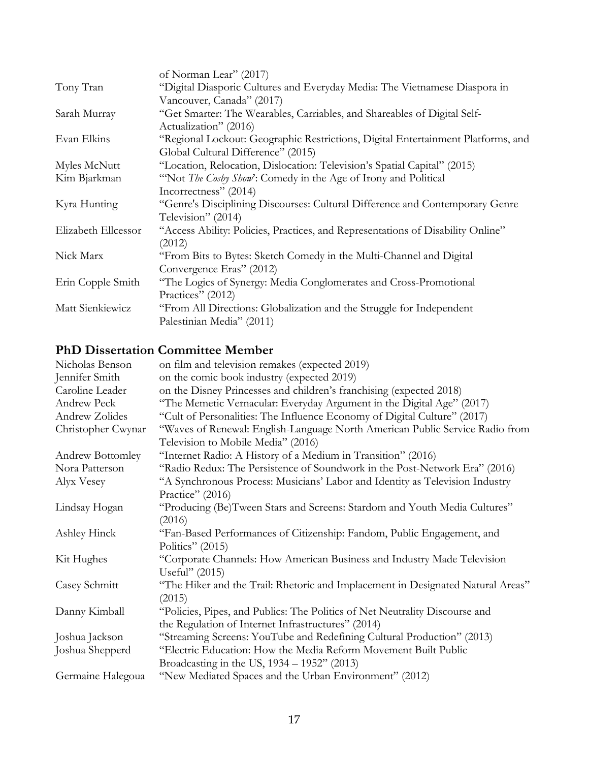|                     | of Norman Lear" (2017)                                                           |
|---------------------|----------------------------------------------------------------------------------|
| Tony Tran           | "Digital Diasporic Cultures and Everyday Media: The Vietnamese Diaspora in       |
|                     | Vancouver, Canada" (2017)                                                        |
| Sarah Murray        | "Get Smarter: The Wearables, Carriables, and Shareables of Digital Self-         |
|                     | Actualization" (2016)                                                            |
| Evan Elkins         | "Regional Lockout: Geographic Restrictions, Digital Entertainment Platforms, and |
|                     | Global Cultural Difference" (2015)                                               |
| Myles McNutt        | "Location, Relocation, Dislocation: Television's Spatial Capital" (2015)         |
| Kim Bjarkman        | "Not <i>The Cosby Show</i> ': Comedy in the Age of Irony and Political           |
|                     | Incorrectness" (2014)                                                            |
| Kyra Hunting        | "Genre's Disciplining Discourses: Cultural Difference and Contemporary Genre     |
|                     | Television" (2014)                                                               |
| Elizabeth Ellcessor | "Access Ability: Policies, Practices, and Representations of Disability Online"  |
|                     | (2012)                                                                           |
| Nick Marx           | "From Bits to Bytes: Sketch Comedy in the Multi-Channel and Digital              |
|                     | Convergence Eras" (2012)                                                         |
| Erin Copple Smith   | "The Logics of Synergy: Media Conglomerates and Cross-Promotional                |
|                     | Practices" (2012)                                                                |
| Matt Sienkiewicz    | "From All Directions: Globalization and the Struggle for Independent             |
|                     | Palestinian Media" (2011)                                                        |

# **PhD Dissertation Committee Member**

| Nicholas Benson    | on film and television remakes (expected 2019)                                  |
|--------------------|---------------------------------------------------------------------------------|
| Jennifer Smith     | on the comic book industry (expected 2019)                                      |
| Caroline Leader    | on the Disney Princesses and children's franchising (expected 2018)             |
| Andrew Peck        | "The Memetic Vernacular: Everyday Argument in the Digital Age" (2017)           |
| Andrew Zolides     | "Cult of Personalities: The Influence Economy of Digital Culture" (2017)        |
| Christopher Cwynar | "Waves of Renewal: English-Language North American Public Service Radio from    |
|                    | Television to Mobile Media" (2016)                                              |
| Andrew Bottomley   | "Internet Radio: A History of a Medium in Transition" (2016)                    |
| Nora Patterson     | "Radio Redux: The Persistence of Soundwork in the Post-Network Era" (2016)      |
| Alyx Vesey         | "A Synchronous Process: Musicians' Labor and Identity as Television Industry    |
|                    | Practice" (2016)                                                                |
| Lindsay Hogan      | "Producing (Be)Tween Stars and Screens: Stardom and Youth Media Cultures"       |
|                    | (2016)                                                                          |
| Ashley Hinck       | "Fan-Based Performances of Citizenship: Fandom, Public Engagement, and          |
|                    | Politics" (2015)                                                                |
| Kit Hughes         | "Corporate Channels: How American Business and Industry Made Television         |
|                    | Useful" (2015)                                                                  |
| Casey Schmitt      | "The Hiker and the Trail: Rhetoric and Implacement in Designated Natural Areas" |
|                    | (2015)                                                                          |
| Danny Kimball      | "Policies, Pipes, and Publics: The Politics of Net Neutrality Discourse and     |
|                    | the Regulation of Internet Infrastructures" (2014)                              |
| Joshua Jackson     | "Streaming Screens: YouTube and Redefining Cultural Production" (2013)          |
| Joshua Shepperd    | "Electric Education: How the Media Reform Movement Built Public                 |
|                    | Broadcasting in the US, 1934 - 1952" (2013)                                     |
| Germaine Halegoua  | "New Mediated Spaces and the Urban Environment" (2012)                          |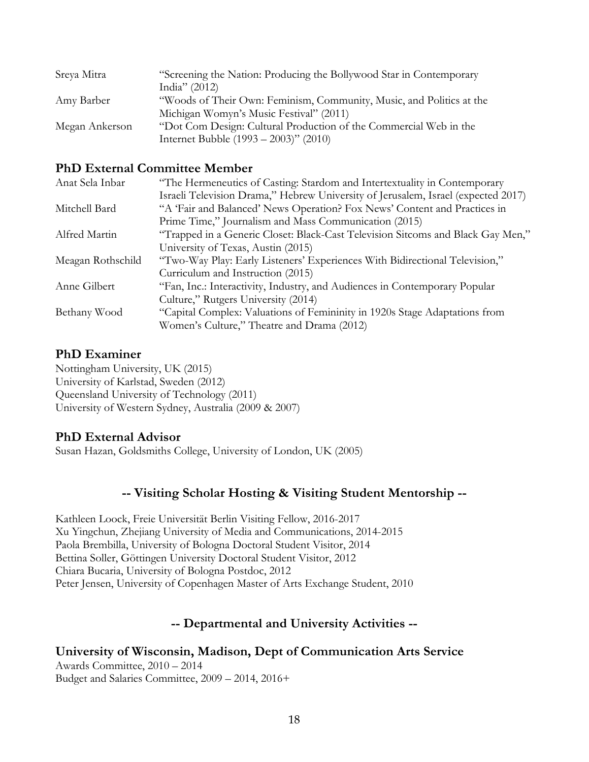| Sreya Mitra    | "Screening the Nation: Producing the Bollywood Star in Contemporary  |
|----------------|----------------------------------------------------------------------|
|                | India" $(2012)$                                                      |
| Amy Barber     | "Woods of Their Own: Feminism, Community, Music, and Politics at the |
|                | Michigan Womyn's Music Festival" (2011)                              |
| Megan Ankerson | "Dot Com Design: Cultural Production of the Commercial Web in the    |
|                | Internet Bubble $(1993 - 2003)$ " (2010)                             |

### **PhD External Committee Member**

| Anat Sela Inbar   | "The Hermeneutics of Casting: Stardom and Intertextuality in Contemporary         |
|-------------------|-----------------------------------------------------------------------------------|
|                   | Israeli Television Drama," Hebrew University of Jerusalem, Israel (expected 2017) |
| Mitchell Bard     | "A 'Fair and Balanced' News Operation? Fox News' Content and Practices in         |
|                   | Prime Time," Journalism and Mass Communication (2015)                             |
| Alfred Martin     | "Trapped in a Generic Closet: Black-Cast Television Sitcoms and Black Gay Men,"   |
|                   | University of Texas, Austin (2015)                                                |
| Meagan Rothschild | "Two-Way Play: Early Listeners' Experiences With Bidirectional Television,"       |
|                   | Curriculum and Instruction (2015)                                                 |
| Anne Gilbert      | "Fan, Inc.: Interactivity, Industry, and Audiences in Contemporary Popular        |
|                   | Culture," Rutgers University (2014)                                               |
| Bethany Wood      | "Capital Complex: Valuations of Femininity in 1920s Stage Adaptations from        |
|                   | Women's Culture," Theatre and Drama (2012)                                        |

### **PhD Examiner**

Nottingham University, UK (2015) University of Karlstad, Sweden (2012) Queensland University of Technology (2011) University of Western Sydney, Australia (2009 & 2007)

# **PhD External Advisor**

Susan Hazan, Goldsmiths College, University of London, UK (2005)

# **-- Visiting Scholar Hosting & Visiting Student Mentorship --**

Kathleen Loock, Freie Universität Berlin Visiting Fellow, 2016-2017 Xu Yingchun, Zhejiang University of Media and Communications, 2014-2015 Paola Brembilla, University of Bologna Doctoral Student Visitor, 2014 Bettina Soller, Göttingen University Doctoral Student Visitor, 2012 Chiara Bucaria, University of Bologna Postdoc, 2012 Peter Jensen, University of Copenhagen Master of Arts Exchange Student, 2010

# **-- Departmental and University Activities --**

# **University of Wisconsin, Madison, Dept of Communication Arts Service**

Awards Committee, 2010 – 2014 Budget and Salaries Committee, 2009 – 2014, 2016+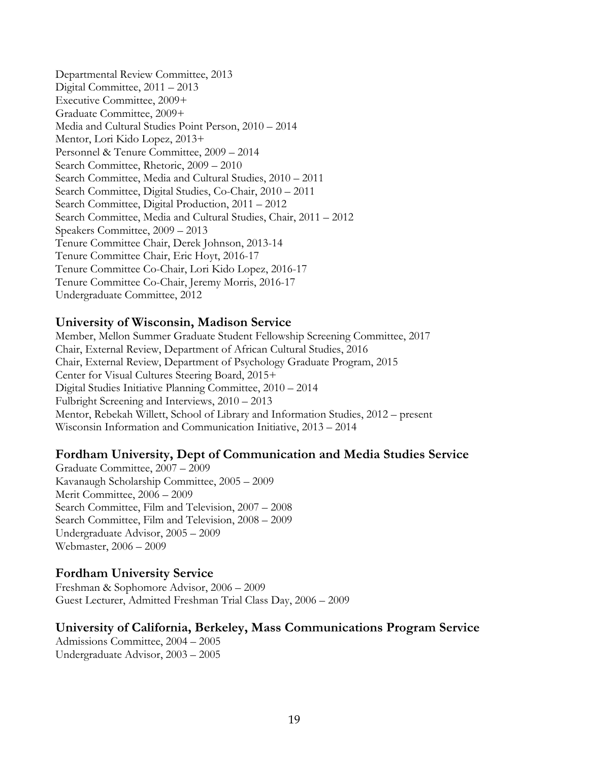Departmental Review Committee, 2013 Digital Committee, 2011 – 2013 Executive Committee, 2009+ Graduate Committee, 2009+ Media and Cultural Studies Point Person, 2010 – 2014 Mentor, Lori Kido Lopez, 2013+ Personnel & Tenure Committee, 2009 – 2014 Search Committee, Rhetoric, 2009 – 2010 Search Committee, Media and Cultural Studies, 2010 – 2011 Search Committee, Digital Studies, Co-Chair, 2010 – 2011 Search Committee, Digital Production, 2011 – 2012 Search Committee, Media and Cultural Studies, Chair, 2011 – 2012 Speakers Committee, 2009 – 2013 Tenure Committee Chair, Derek Johnson, 2013-14 Tenure Committee Chair, Eric Hoyt, 2016-17 Tenure Committee Co-Chair, Lori Kido Lopez, 2016-17 Tenure Committee Co-Chair, Jeremy Morris, 2016-17 Undergraduate Committee, 2012

### **University of Wisconsin, Madison Service**

Member, Mellon Summer Graduate Student Fellowship Screening Committee, 2017 Chair, External Review, Department of African Cultural Studies, 2016 Chair, External Review, Department of Psychology Graduate Program, 2015 Center for Visual Cultures Steering Board, 2015+ Digital Studies Initiative Planning Committee, 2010 – 2014 Fulbright Screening and Interviews, 2010 – 2013 Mentor, Rebekah Willett, School of Library and Information Studies, 2012 – present Wisconsin Information and Communication Initiative, 2013 – 2014

### **Fordham University, Dept of Communication and Media Studies Service**

Graduate Committee, 2007 – 2009 Kavanaugh Scholarship Committee, 2005 – 2009 Merit Committee, 2006 – 2009 Search Committee, Film and Television, 2007 – 2008 Search Committee, Film and Television, 2008 – 2009 Undergraduate Advisor, 2005 – 2009 Webmaster, 2006 – 2009

### **Fordham University Service**

Freshman & Sophomore Advisor, 2006 – 2009 Guest Lecturer, Admitted Freshman Trial Class Day, 2006 – 2009

### **University of California, Berkeley, Mass Communications Program Service**

Admissions Committee, 2004 – 2005 Undergraduate Advisor, 2003 – 2005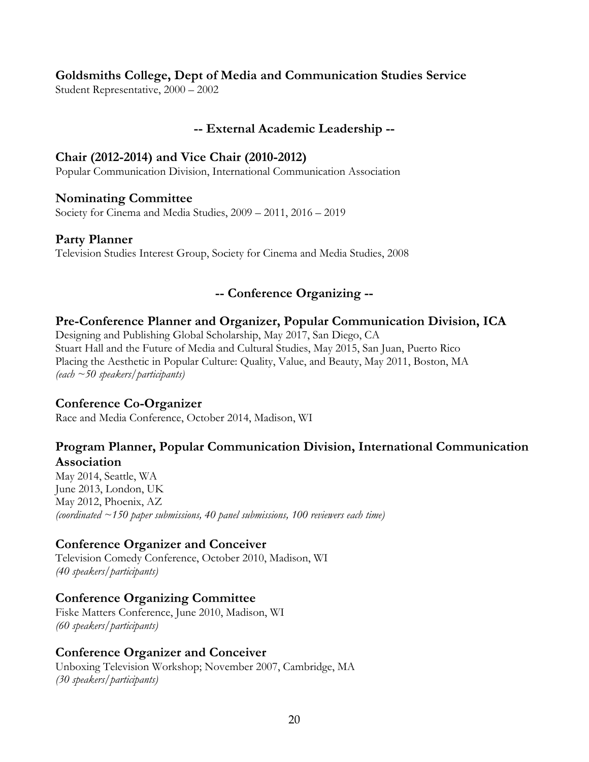# **Goldsmiths College, Dept of Media and Communication Studies Service**

Student Representative, 2000 – 2002

# **-- External Academic Leadership --**

### **Chair (2012-2014) and Vice Chair (2010-2012)**

Popular Communication Division, International Communication Association

### **Nominating Committee**

Society for Cinema and Media Studies, 2009 – 2011, 2016 – 2019

### **Party Planner**

Television Studies Interest Group, Society for Cinema and Media Studies, 2008

# **-- Conference Organizing --**

### **Pre-Conference Planner and Organizer, Popular Communication Division, ICA**

Designing and Publishing Global Scholarship, May 2017, San Diego, CA Stuart Hall and the Future of Media and Cultural Studies, May 2015, San Juan, Puerto Rico Placing the Aesthetic in Popular Culture: Quality, Value, and Beauty, May 2011, Boston, MA *(each ~50 speakers/participants)* 

### **Conference Co-Organizer**

Race and Media Conference, October 2014, Madison, WI

# **Program Planner, Popular Communication Division, International Communication Association**

May 2014, Seattle, WA June 2013, London, UK May 2012, Phoenix, AZ *(coordinated ~150 paper submissions, 40 panel submissions, 100 reviewers each time)*

# **Conference Organizer and Conceiver**

Television Comedy Conference, October 2010, Madison, WI *(40 speakers/participants)*

# **Conference Organizing Committee**

Fiske Matters Conference, June 2010, Madison, WI *(60 speakers/participants)*

### **Conference Organizer and Conceiver**

Unboxing Television Workshop; November 2007, Cambridge, MA *(30 speakers/participants)*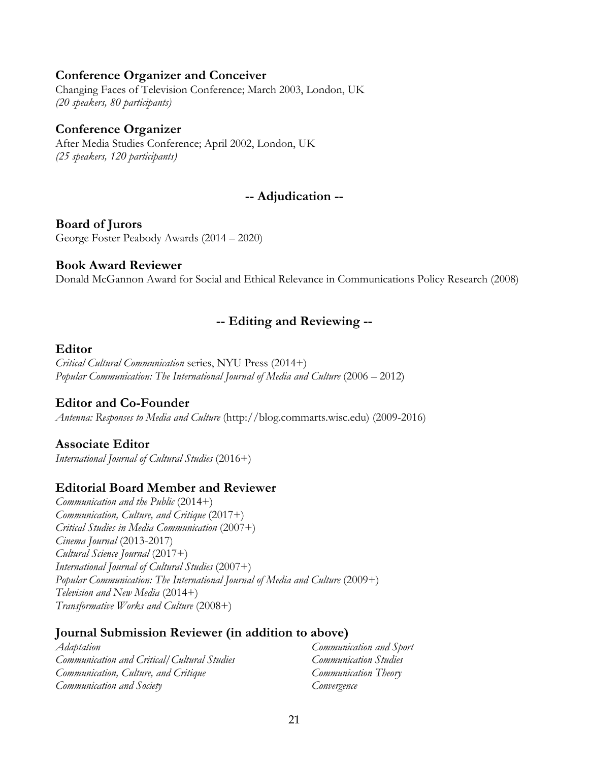### **Conference Organizer and Conceiver**

Changing Faces of Television Conference; March 2003, London, UK *(20 speakers, 80 participants)* 

#### **Conference Organizer**

After Media Studies Conference; April 2002, London, UK *(25 speakers, 120 participants)*

### **-- Adjudication --**

### **Board of Jurors**

George Foster Peabody Awards (2014 – 2020)

#### **Book Award Reviewer**

Donald McGannon Award for Social and Ethical Relevance in Communications Policy Research (2008)

### **-- Editing and Reviewing --**

#### **Editor**

*Critical Cultural Communication* series, NYU Press (2014+) *Popular Communication: The International Journal of Media and Culture* (2006 – 2012)

### **Editor and Co-Founder**

*Antenna: Responses to Media and Culture* (http://blog.commarts.wisc.edu) (2009-2016)

### **Associate Editor**

*International Journal of Cultural Studies* (2016+)

### **Editorial Board Member and Reviewer**

*Communication and the Public* (2014+) *Communication, Culture, and Critique* (2017+) *Critical Studies in Media Communication* (2007+) *Cinema Journal* (2013-2017) *Cultural Science Journal* (2017+) *International Journal of Cultural Studies* (2007+) *Popular Communication: The International Journal of Media and Culture* (2009+) *Television and New Media* (2014+) *Transformative Works and Culture* (2008+)

### **Journal Submission Reviewer (in addition to above)**

*Adaptation Communication and Critical/Cultural Studies Communication, Culture, and Critique Communication and Society*

*Communication and Sport Communication Studies Communication Theory Convergence*